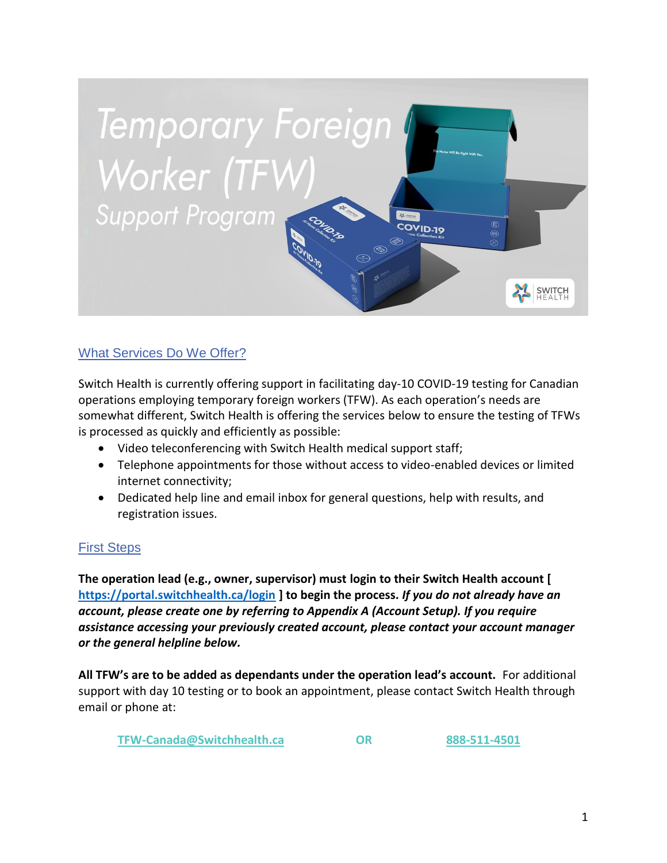

# What Services Do We Offer?

Switch Health is currently offering support in facilitating day-10 COVID-19 testing for Canadian operations employing temporary foreign workers (TFW). As each operation's needs are somewhat different, Switch Health is offering the services below to ensure the testing of TFWs is processed as quickly and efficiently as possible:

- Video teleconferencing with Switch Health medical support staff;
- Telephone appointments for those without access to video-enabled devices or limited internet connectivity;
- Dedicated help line and email inbox for general questions, help with results, and registration issues.

# First Steps

**The operation lead (e.g., owner, supervisor) must login to their Switch Health account [ <https://portal.switchhealth.ca/login> ] to begin the process.** *If you do not already have an account, please create one by referring to Appendix A (Account Setup). If you require assistance accessing your previously created account, please contact your account manager or the general helpline below.*

**All TFW's are to be added as dependants under the operation lead's account.** For additional support with day 10 testing or to book an appointment, please contact Switch Health through email or phone at:

**TFW-Canada@Switchhealth.ca OR 888-511-4501**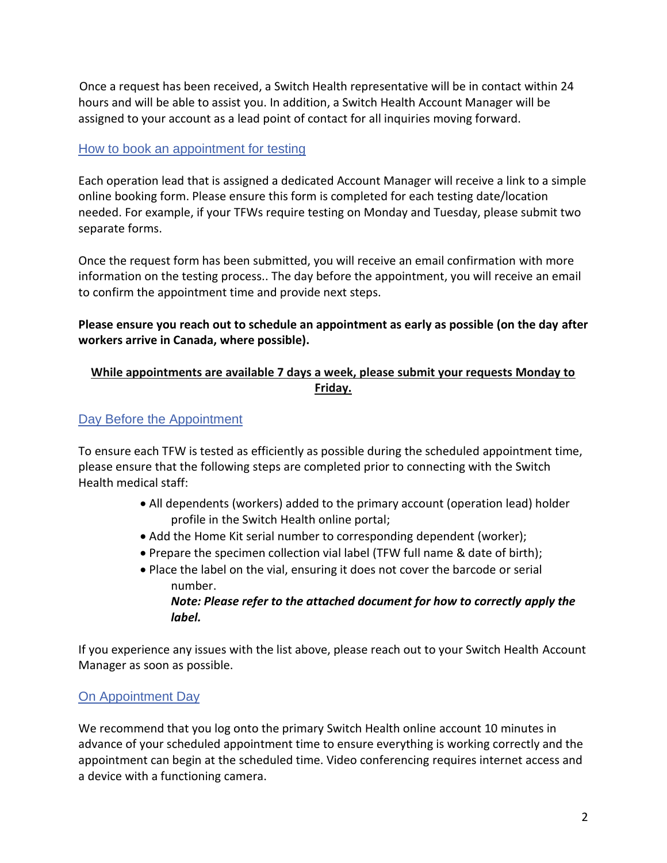Once a request has been received, a Switch Health representative will be in contact within 24 hours and will be able to assist you. In addition, a Switch Health Account Manager will be assigned to your account as a lead point of contact for all inquiries moving forward.

### How to book an appointment for testing

Each operation lead that is assigned a dedicated Account Manager will receive a link to a simple online booking form. Please ensure this form is completed for each testing date/location needed. For example, if your TFWs require testing on Monday and Tuesday, please submit two separate forms.

Once the request form has been submitted, you will receive an email confirmation with more information on the testing process.. The day before the appointment, you will receive an email to confirm the appointment time and provide next steps.

#### **Please ensure you reach out to schedule an appointment as early as possible (on the day after workers arrive in Canada, where possible).**

### **While appointments are available 7 days a week, please submit your requests Monday to Friday.**

#### Day Before the Appointment

To ensure each TFW is tested as efficiently as possible during the scheduled appointment time, please ensure that the following steps are completed prior to connecting with the Switch Health medical staff:

- All dependents (workers) added to the primary account (operation lead) holder profile in the Switch Health online portal;
- Add the Home Kit serial number to corresponding dependent (worker);
- Prepare the specimen collection vial label (TFW full name & date of birth);
- Place the label on the vial, ensuring it does not cover the barcode or serial number.

#### *Note: Please refer to the attached document for how to correctly apply the label.*

If you experience any issues with the list above, please reach out to your Switch Health Account Manager as soon as possible.

# On Appointment Day

We recommend that you log onto the primary Switch Health online account 10 minutes in advance of your scheduled appointment time to ensure everything is working correctly and the appointment can begin at the scheduled time. Video conferencing requires internet access and a device with a functioning camera.